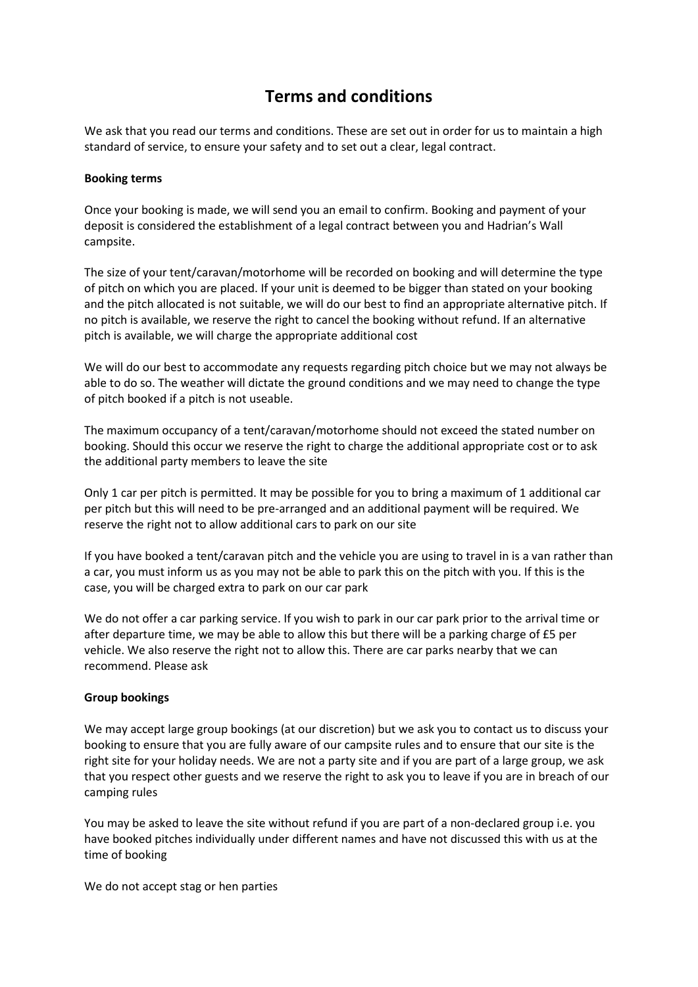# **Terms and conditions**

We ask that you read our terms and conditions. These are set out in order for us to maintain a high standard of service, to ensure your safety and to set out a clear, legal contract.

## **Booking terms**

Once your booking is made, we will send you an email to confirm. Booking and payment of your deposit is considered the establishment of a legal contract between you and Hadrian's Wall campsite.

The size of your tent/caravan/motorhome will be recorded on booking and will determine the type of pitch on which you are placed. If your unit is deemed to be bigger than stated on your booking and the pitch allocated is not suitable, we will do our best to find an appropriate alternative pitch. If no pitch is available, we reserve the right to cancel the booking without refund. If an alternative pitch is available, we will charge the appropriate additional cost

We will do our best to accommodate any requests regarding pitch choice but we may not always be able to do so. The weather will dictate the ground conditions and we may need to change the type of pitch booked if a pitch is not useable.

The maximum occupancy of a tent/caravan/motorhome should not exceed the stated number on booking. Should this occur we reserve the right to charge the additional appropriate cost or to ask the additional party members to leave the site

Only 1 car per pitch is permitted. It may be possible for you to bring a maximum of 1 additional car per pitch but this will need to be pre-arranged and an additional payment will be required. We reserve the right not to allow additional cars to park on our site

If you have booked a tent/caravan pitch and the vehicle you are using to travel in is a van rather than a car, you must inform us as you may not be able to park this on the pitch with you. If this is the case, you will be charged extra to park on our car park

We do not offer a car parking service. If you wish to park in our car park prior to the arrival time or after departure time, we may be able to allow this but there will be a parking charge of £5 per vehicle. We also reserve the right not to allow this. There are car parks nearby that we can recommend. Please ask

## **Group bookings**

We may accept large group bookings (at our discretion) but we ask you to contact us to discuss your booking to ensure that you are fully aware of our campsite rules and to ensure that our site is the right site for your holiday needs. We are not a party site and if you are part of a large group, we ask that you respect other guests and we reserve the right to ask you to leave if you are in breach of our camping rules

You may be asked to leave the site without refund if you are part of a non-declared group i.e. you have booked pitches individually under different names and have not discussed this with us at the time of booking

We do not accept stag or hen parties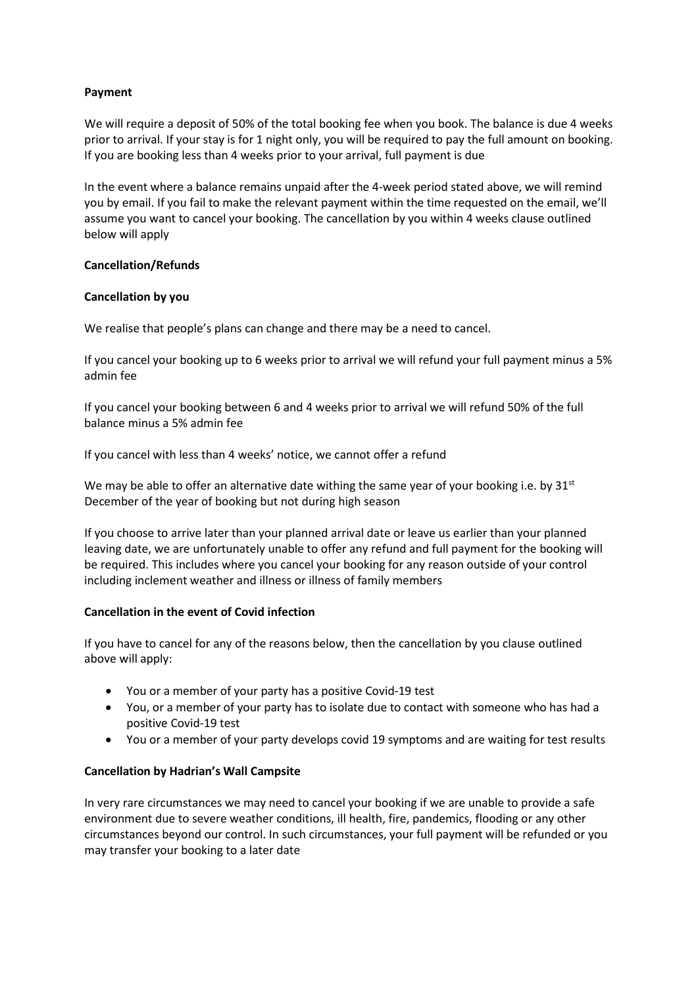# **Payment**

We will require a deposit of 50% of the total booking fee when you book. The balance is due 4 weeks prior to arrival. If your stay is for 1 night only, you will be required to pay the full amount on booking. If you are booking less than 4 weeks prior to your arrival, full payment is due

In the event where a balance remains unpaid after the 4-week period stated above, we will remind you by email. If you fail to make the relevant payment within the time requested on the email, we'll assume you want to cancel your booking. The cancellation by you within 4 weeks clause outlined below will apply

## **Cancellation/Refunds**

## **Cancellation by you**

We realise that people's plans can change and there may be a need to cancel.

If you cancel your booking up to 6 weeks prior to arrival we will refund your full payment minus a 5% admin fee

If you cancel your booking between 6 and 4 weeks prior to arrival we will refund 50% of the full balance minus a 5% admin fee

If you cancel with less than 4 weeks' notice, we cannot offer a refund

We may be able to offer an alternative date withing the same year of your booking i.e. by  $31<sup>st</sup>$ December of the year of booking but not during high season

If you choose to arrive later than your planned arrival date or leave us earlier than your planned leaving date, we are unfortunately unable to offer any refund and full payment for the booking will be required. This includes where you cancel your booking for any reason outside of your control including inclement weather and illness or illness of family members

## **Cancellation in the event of Covid infection**

If you have to cancel for any of the reasons below, then the cancellation by you clause outlined above will apply:

- You or a member of your party has a positive Covid-19 test
- You, or a member of your party has to isolate due to contact with someone who has had a positive Covid-19 test
- You or a member of your party develops covid 19 symptoms and are waiting for test results

## **Cancellation by Hadrian's Wall Campsite**

In very rare circumstances we may need to cancel your booking if we are unable to provide a safe environment due to severe weather conditions, ill health, fire, pandemics, flooding or any other circumstances beyond our control. In such circumstances, your full payment will be refunded or you may transfer your booking to a later date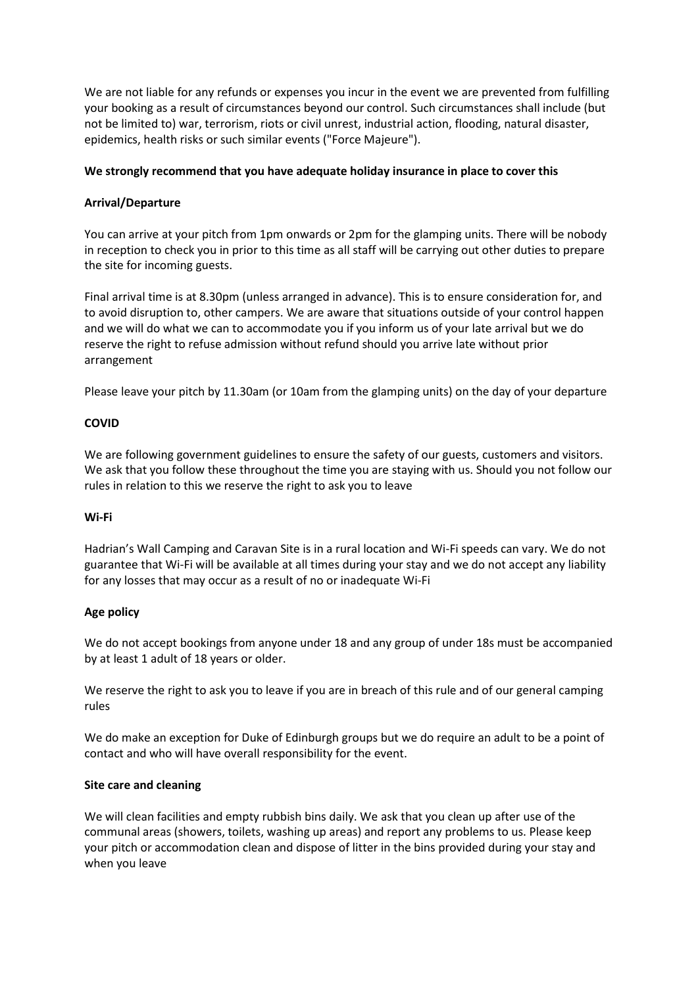We are not liable for any refunds or expenses you incur in the event we are prevented from fulfilling your booking as a result of circumstances beyond our control. Such circumstances shall include (but not be limited to) war, terrorism, riots or civil unrest, industrial action, flooding, natural disaster, epidemics, health risks or such similar events ("Force Majeure").

## **We strongly recommend that you have adequate holiday insurance in place to cover this**

## **Arrival/Departure**

You can arrive at your pitch from 1pm onwards or 2pm for the glamping units. There will be nobody in reception to check you in prior to this time as all staff will be carrying out other duties to prepare the site for incoming guests.

Final arrival time is at 8.30pm (unless arranged in advance). This is to ensure consideration for, and to avoid disruption to, other campers. We are aware that situations outside of your control happen and we will do what we can to accommodate you if you inform us of your late arrival but we do reserve the right to refuse admission without refund should you arrive late without prior arrangement

Please leave your pitch by 11.30am (or 10am from the glamping units) on the day of your departure

### **COVID**

We are following government guidelines to ensure the safety of our guests, customers and visitors. We ask that you follow these throughout the time you are staying with us. Should you not follow our rules in relation to this we reserve the right to ask you to leave

#### **Wi-Fi**

Hadrian's Wall Camping and Caravan Site is in a rural location and Wi-Fi speeds can vary. We do not guarantee that Wi-Fi will be available at all times during your stay and we do not accept any liability for any losses that may occur as a result of no or inadequate Wi-Fi

#### **Age policy**

We do not accept bookings from anyone under 18 and any group of under 18s must be accompanied by at least 1 adult of 18 years or older.

We reserve the right to ask you to leave if you are in breach of this rule and of our general camping rules

We do make an exception for Duke of Edinburgh groups but we do require an adult to be a point of contact and who will have overall responsibility for the event.

#### **Site care and cleaning**

We will clean facilities and empty rubbish bins daily. We ask that you clean up after use of the communal areas (showers, toilets, washing up areas) and report any problems to us. Please keep your pitch or accommodation clean and dispose of litter in the bins provided during your stay and when you leave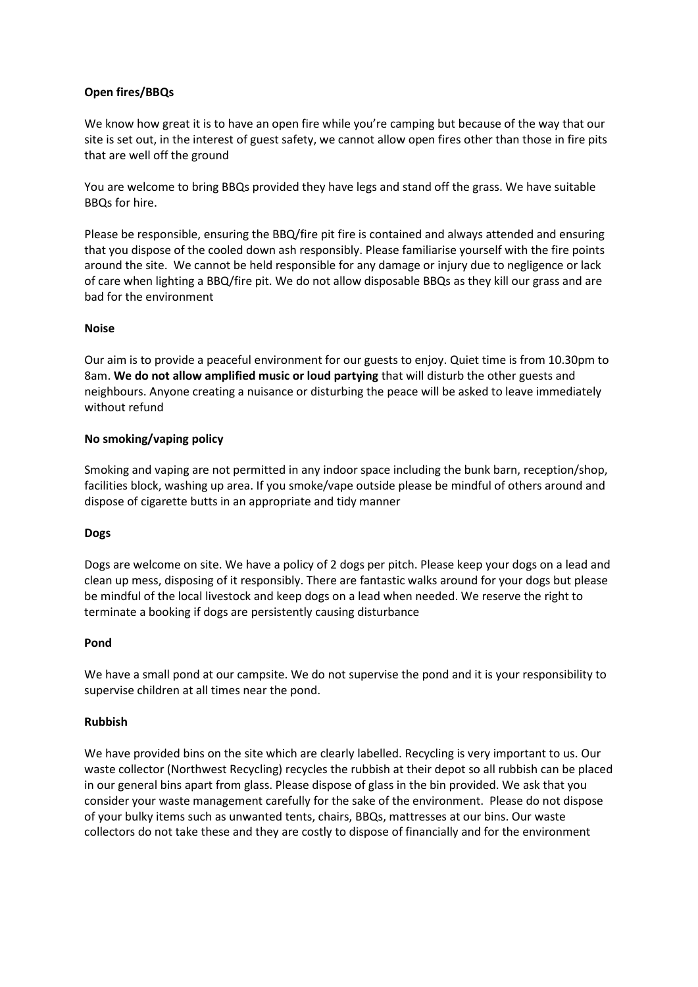# **Open fires/BBQs**

We know how great it is to have an open fire while you're camping but because of the way that our site is set out, in the interest of guest safety, we cannot allow open fires other than those in fire pits that are well off the ground

You are welcome to bring BBQs provided they have legs and stand off the grass. We have suitable BBQs for hire.

Please be responsible, ensuring the BBQ/fire pit fire is contained and always attended and ensuring that you dispose of the cooled down ash responsibly. Please familiarise yourself with the fire points around the site. We cannot be held responsible for any damage or injury due to negligence or lack of care when lighting a BBQ/fire pit. We do not allow disposable BBQs as they kill our grass and are bad for the environment

## **Noise**

Our aim is to provide a peaceful environment for our guests to enjoy. Quiet time is from 10.30pm to 8am. **We do not allow amplified music or loud partying** that will disturb the other guests and neighbours. Anyone creating a nuisance or disturbing the peace will be asked to leave immediately without refund

# **No smoking/vaping policy**

Smoking and vaping are not permitted in any indoor space including the bunk barn, reception/shop, facilities block, washing up area. If you smoke/vape outside please be mindful of others around and dispose of cigarette butts in an appropriate and tidy manner

## **Dogs**

Dogs are welcome on site. We have a policy of 2 dogs per pitch. Please keep your dogs on a lead and clean up mess, disposing of it responsibly. There are fantastic walks around for your dogs but please be mindful of the local livestock and keep dogs on a lead when needed. We reserve the right to terminate a booking if dogs are persistently causing disturbance

## **Pond**

We have a small pond at our campsite. We do not supervise the pond and it is your responsibility to supervise children at all times near the pond.

## **Rubbish**

We have provided bins on the site which are clearly labelled. Recycling is very important to us. Our waste collector (Northwest Recycling) recycles the rubbish at their depot so all rubbish can be placed in our general bins apart from glass. Please dispose of glass in the bin provided. We ask that you consider your waste management carefully for the sake of the environment. Please do not dispose of your bulky items such as unwanted tents, chairs, BBQs, mattresses at our bins. Our waste collectors do not take these and they are costly to dispose of financially and for the environment